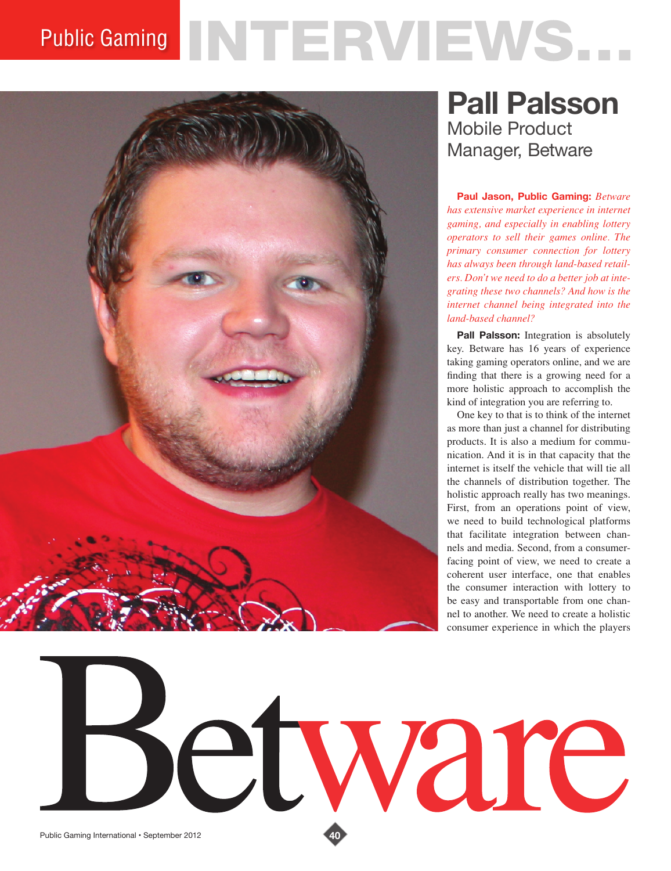## Public Gaming NTERVIEWS...



 $\bigodot$ 

## **Pall Palsson** Mobile Product Manager, Betware

**Paul Jason, Public Gaming:** *Betware has extensive market experience in internet gaming, and especially in enabling lottery operators to sell their games online. The primary consumer connection for lottery has always been through land-based retailers. Don't we need to do a better job at integrating these two channels? And how is the internet channel being integrated into the land-based channel?* 

**Pall Palsson:** Integration is absolutely key. Betware has 16 years of experience taking gaming operators online, and we are finding that there is a growing need for a more holistic approach to accomplish the kind of integration you are referring to.

One key to that is to think of the internet as more than just a channel for distributing products. It is also a medium for communication. And it is in that capacity that the internet is itself the vehicle that will tie all the channels of distribution together. The holistic approach really has two meanings. First, from an operations point of view, we need to build technological platforms that facilitate integration between channels and media. Second, from a consumerfacing point of view, we need to create a coherent user interface, one that enables the consumer interaction with lottery to be easy and transportable from one channel to another. We need to create a holistic consumer experience in which the players

tware

Public Gaming International • September 2012 **40**